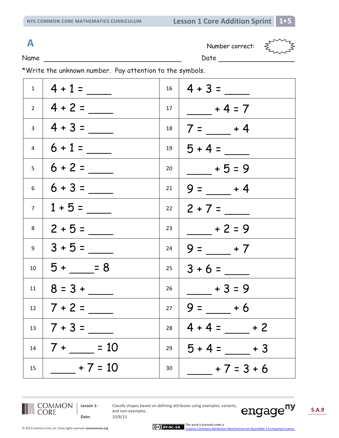**A** Number correct:



Name Date

\*Write the unknown number. Pay attention to the symbols.

|                | $1 \mid 4 + 1 =$                   |            | $16 \mid 4 + 3 =$       |
|----------------|------------------------------------|------------|-------------------------|
|                | $2   4 + 2 =$                      |            | $17   \t-4 = 7$         |
|                | $3 \mid 4 + 3 =$                   | 18         | $7 = \_ + 4$            |
|                | $4 \mid 6 + 1 =$                   |            | $19   5 + 4 =$          |
| 5 <sub>5</sub> | $6 + 2 =$                          | 20         | $- + 5 = 9$             |
| 6 <sup>1</sup> | $6 + 3 =$                          | 21         | $9 =$ $-$ + 4           |
| 7 <sup>7</sup> | $1 + 5 =$                          |            | $22 \mid 2 + 7 =$       |
| 8              | $2 + 5 =$                          | 23         | $- + 2 = 9$             |
| 9 <sup>1</sup> | $3 + 5 =$                          | 24         | $9 = 7$                 |
| 10             | $5 + \underline{\hspace{1cm}} = 8$ | $25$       | $3 + 6 =$               |
| 11             |                                    | 26         | $+3=9$                  |
|                | $12 \mid 7 + 2 =$                  | 27 $\vert$ | $9 = +6$                |
| 13             |                                    |            | $28 \mid 4 + 4 =$ $+ 2$ |
| 14             | $7 + \_ = 10$                      | 29         | $5 + 4 =$ + 3           |
| 15             | $- + 7 = 10$                       | 30         | $+7=3+6$                |



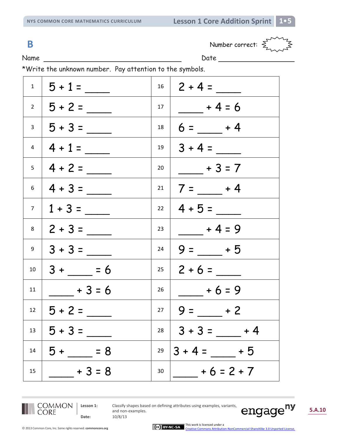

Name Date

\*Write the unknown number. Pay attention to the symbols.

|             | $1 \mid 5 + 1 =$  | 16              | $2 + 4 =$         |
|-------------|-------------------|-----------------|-------------------|
|             | $2   5 + 2 =$     | 17 <sup>7</sup> | $+4=6$            |
|             | $3   5 + 3 =$     | 18              | $6 =$ $-$ + 4     |
|             | $4 \mid 4 + 1 =$  | 19              | $3 + 4 =$         |
| 5           | $ 4+2=$           | 20              | $-$ + 3 = 7       |
| 6           | $ 4 + 3 =$        | 21              | $7 = \_ + 4$      |
| $7^{\circ}$ | $1 + 3 =$         |                 | $22 \mid 4 + 5 =$ |
|             | $8 \mid 2 + 3 =$  | 23              | $+4=9$            |
|             | $9 \mid 3 + 3 =$  | 24              | $9 = +5$          |
| 10          | $3 + 56$          | $25 \quad  $    | $2 + 6 =$         |
| 11          | $+3=6$            | 26              | $+6=9$            |
|             | $12 \mid 5 + 2 =$ | 27              | $9 = +2$          |
| 13          | $ 5 + 3 =$        | 28              | $ 3+3=$ $+4$      |
| 14          | $5 + 5 = 8$       | 29              | $3 + 4 = 5$       |
| 15          | $+3=8$            | 30              | $+6=2+7$          |



**Date:** 10/8/13

**Lesson 1:** Classify shapes based on defining attributes using examples, variants, and non-examples.

engage<sup>ny</sup> **5.A.10**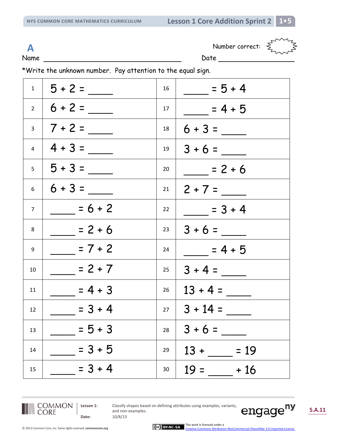**A** Number correct:  $\leq$ 



Name Date

\*Write the unknown number. Pay attention to the equal sign.

|                | $1 \mid 5 + 2 =$ | 16 | $= 5 + 4$        |
|----------------|------------------|----|------------------|
|                | $2 \mid 6 + 2 =$ | 17 | $= 4 + 5$        |
| $\overline{3}$ | $ 7+2=$          | 18 | $6 + 3 =$        |
| $\overline{4}$ | $ 4 + 3 =$       | 19 | $3 + 6 =$        |
|                | $5 \mid 5 + 3 =$ | 20 | $= 2 + 6$        |
| 6              | $6 + 3 =$        | 21 | $2 + 7 =$        |
| $\overline{7}$ | $= 6 + 2$        | 22 | $= 3 + 4$        |
| 8              | $= 2 + 6$        | 23 | $3 + 6 =$        |
| 9              | $= 7 + 2$        | 24 | $= 4 + 5$        |
| 10             | $= 2 + 7$        | 25 | $3 + 4 =$        |
| 11             | $= 4 + 3$        | 26 | $13 + 4 =$       |
| 12             | $= 3 + 4$        | 27 | $3 + 14 =$       |
| 13             | $= 5 + 3$        | 28 | $3 + 6 =$        |
| 14             | $= 3 + 5$        | 29 | $13 +$<br>$= 19$ |
| 15             | $= 3 + 4$        | 30 | $19 =$<br>$+16$  |



**Date:** 10/8/13

**Lesson 1:** Classify shapes based on defining attributes using examples, variants, and non-examples.

**5.A.11**

engage<sup>ny</sup>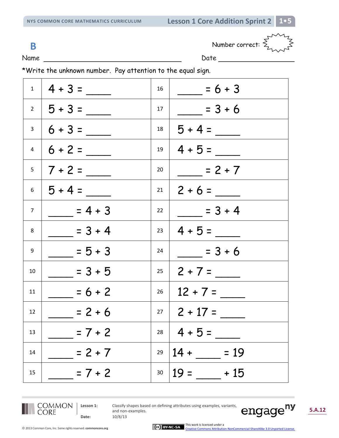**B** Number correct:  $\sum_{k=1}^{n}$ 



Name Date

\*Write the unknown number. Pay attention to the equal sign.

|             | $1 \mid 4 + 3 =$ | 16 | $= 6 + 3$        |
|-------------|------------------|----|------------------|
|             | $2   5 + 3 =$    | 17 | $= 3 + 6$        |
|             | $3 \mid 6 + 3 =$ | 18 | $5 + 4 =$        |
|             | $4   6 + 2 =$    | 19 | $4 + 5 =$        |
|             | $5 \mid 7 + 2 =$ | 20 | $= 2 + 7$        |
|             | $6 \mid 5 + 4 =$ | 21 | $2 + 6 =$        |
| $7^{\circ}$ | $= 4 + 3$        | 22 | $=3+4$           |
| 8           | $= 3 + 4$        | 23 | $4 + 5 =$        |
| 9           | $= 5 + 3$        | 24 | $= 3 + 6$        |
| 10          | $= 3 + 5$        | 25 | $2 + 7 =$        |
| 11          | $= 6 + 2$        | 26 | $12 + 7 =$       |
| 12          | $= 2 + 6$        | 27 | $2 + 17 =$       |
| 13          | $= 7 + 2$        | 28 | $4 + 5 =$        |
| 14          | $= 2 + 7$        | 29 | $14 +$<br>$= 19$ |
| 15          | $= 7 + 2$        | 30 | $19 =$<br>$+15$  |



**Date:** 10/8/13

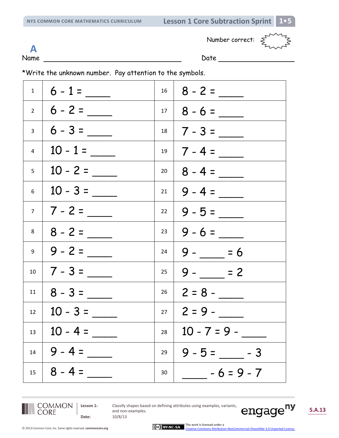Number correct:  $\sum_{L}$ 



**A**

Name Date

\*Write the unknown number. Pay attention to the symbols.

|          | $1 \mid 6 - 1 =$   |      | $16 \mid 8 - 2 =$ |
|----------|--------------------|------|-------------------|
|          | $2   6 - 2 =$      |      | $17   8 - 6 =$    |
|          | $3 \mid 6 - 3 =$   |      | $18 \mid 7 - 3 =$ |
| $4 \mid$ | $10 - 1 =$         |      | $19   7 - 4 =$    |
|          | $5 \mid 10 - 2 =$  | $20$ | $8 - 4 =$         |
|          | $6 \mid 10 - 3 =$  |      | $21 \mid 9 - 4 =$ |
|          | $7 \mid 7 - 2 =$   | 22   | $9 - 5 =$         |
| 8        | $8 - 2 =$          | 23   | $9 - 6 =$         |
| 9        | $ 9 - 2 =$         | 24   | $9 - 5 = 6$       |
| 10       |                    | 25   | $9 - 2$           |
| 11       | $8 - 3 =$          | 26   | $2 = 8 -$         |
| 12       |                    |      | $27 \mid 2 = 9 -$ |
|          | $13 \mid 10 - 4 =$ | 28   | $10 - 7 = 9 -$    |
| 14       | $9 - 4 =$          | 29   | $9 - 5 =$ $-3$    |
| 15       | $8 - 4 =$          | 30   | $-6 = 9 - 7$      |



**Date:** 10/8/13

**Lesson 1:** Classify shapes based on defining attributes using examples, variants, and non-examples.

engage<sup>ny</sup> **5.A.13**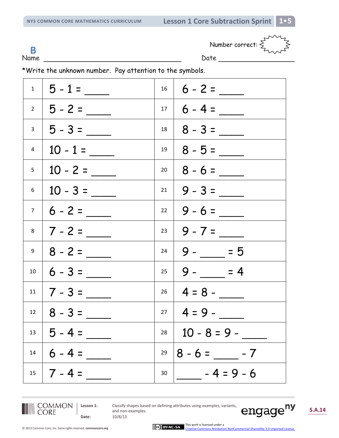**B**

Name Date Date

Number correct:  $\sum_{n=1}^{\infty}$ 

\*Write the unknown number. Pay attention to the symbols.

|                | $1 \mid 5 - 1 =$  | 16   |                     |
|----------------|-------------------|------|---------------------|
|                | $2   5 - 2 =$     |      | $17   6 - 4 =$      |
|                | $3 \mid 5 - 3 =$  | 18   | $8 - 3 =$           |
| $\overline{4}$ | $10 - 1 =$        | 19   |                     |
| 5 <sub>1</sub> | $10 - 2 =$        | $20$ |                     |
| 6              | $10 - 3 =$        |      | $21   9 - 3 =$      |
| 7 <sup>7</sup> |                   |      | $22   9 - 6 =$      |
| 8              |                   |      | $23   9 - 7 =$      |
| 9              |                   | 24   | $9 - \_ = 5$        |
| 10             |                   |      | $25   9 - 12   = 4$ |
|                | $11 \mid 7 - 3 =$ |      | $26 \mid 4 = 8 -$   |
| 12             |                   |      | $27 \mid 4 = 9 -$   |
| 13             | $5 - 4 =$         | 28   | $10 - 8 = 9 -$      |
| 14             | $6 - 4 =$         | 29   | $8 - 6 =$ - $- 7$   |
| 15             | $ 7 - 4 =$        | 30   | $-4=9-6$            |



**Date:** 10/8/13

**Lesson 1:** Classify shapes based on defining attributes using examples, variants, and non-examples.

engage<sup>ny</sup>

**5.A.14**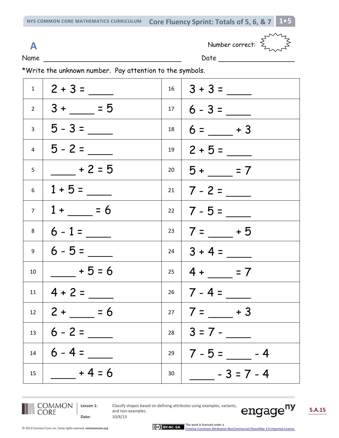**NYS COMMON CORE MATHEMATICS CURRICULUM Core Fluency Sprint: Totals of 5, 6, & 7 1**•**5**

**A** Number correct:  $\leq$ 



Name D

| I<br>w<br>×<br>. .<br>۰. |  |
|--------------------------|--|
|                          |  |

\*Write the unknown number. Pay attention to the symbols.

|    | $1 \mid 2 + 3 =$                    |    | $16 \mid 3 + 3 =$                    |
|----|-------------------------------------|----|--------------------------------------|
|    | $2 \mid 3 + \underline{\qquad} = 5$ |    | $17   6 - 3 =$                       |
|    | $3   5 - 3 =$                       | 18 | $6 = \underline{\hspace{1cm}} + 3$   |
|    | $4 \mid 5 - 2 =$                    |    | $19 \mid 2 + 5 =$                    |
| 5  | $\frac{1}{2}$ + 2 = 5               |    | $20 \mid 5 + \underline{\qquad} = 7$ |
|    | $6$   1 + 5 = ____                  |    | $21 \mid 7 - 2 =$                    |
|    | $7 \mid 1 + \_ = 6$                 |    |                                      |
|    | $8 \mid 6 - 1 =$                    |    | $23   7 =$ $- 15$                    |
|    | $9 \mid 6 - 5 =$                    |    | $24 \mid 3 + 4 =$                    |
| 10 | $+5=6$                              |    | $25 \mid 4 + \_\_\_\_\_\$ = 7        |
|    | $11 \mid 4 + 2 =$                   |    | $26 \mid 7 - 4 =$                    |
|    | $12 \mid 2 + \_\_\ = 6$             |    | $27   7 = +3$                        |
| 13 |                                     | 28 | $ 3=7-$                              |
| 14 | $6 - 4 =$                           | 29 | $7 - 5 =$ $- 4$                      |
| 15 | $- + 4 = 6$                         | 30 | $-3 = 7 - 4$                         |



**Date:** 10/8/13

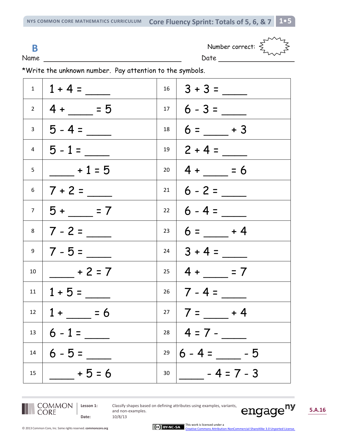**NYS COMMON CORE MATHEMATICS CURRICULUM Core Fluency Sprint: Totals of 5, 6, & 7 1**•**5**

Name Date Date Development of Date Date Date Date Date Date Development of Date Date Date Date Date D

| B | Number correct: |
|---|-----------------|
|---|-----------------|



\*Write the unknown number. Pay attention to the symbols.

|    | $1 \mid 1 + 4 =$           |      | $16 \mid 3 + 3 =$                    |
|----|----------------------------|------|--------------------------------------|
|    | $2 \mid 4 + \_\_\_\_\ = 5$ | 17   | $6 - 3 =$                            |
|    | $3   5 - 4 =$              | $18$ | $6 =$ $+3$                           |
|    | $4$   5 - 1 =              | 19   | $2 + 4 =$                            |
| 5  | $+1=5$                     |      | $20   4 + \_ = 6$                    |
|    | $6$   7 + 2 = ____         | 21   | $6 - 2 =$                            |
|    | $7   5 + \_ = 7$           |      | $22 \mid 6 - 4 =$                    |
|    |                            | 23   | $6 = +4$                             |
|    | $9 \mid 7 - 5 =$           |      | $24 \mid 3 + 4 =$                    |
| 10 | $+2=7$                     |      | $25 \mid 4 + \underline{\qquad} = 7$ |
|    | $11   1 + 5 =$             |      | $26$   7 - 4 =                       |
|    | $12 \mid 1 + 56$           |      | $27   7 = +4$                        |
| 13 | $6 - 1 =$                  | 28   | $  4 = 7 -$                          |
| 14 | $6 - 5 =$                  | 29   | $6 - 4 =$<br>- 5                     |
| 15 | $+5=6$                     | 30   | $-4=7-3$                             |



**Date:** 10/8/13

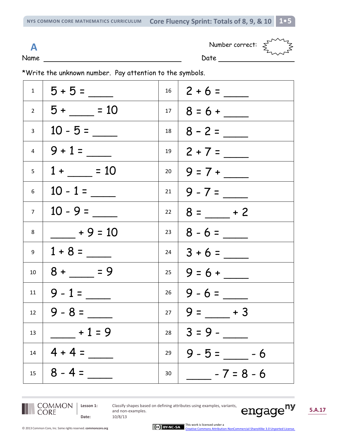**NYS COMMON CORE MATHEMATICS CURRICULUM Core Fluency Sprint: Totals of 8, 9, & 10 1**•**5**

Name Date

 $\mathbf{A}$  Number correct:  $\boldsymbol{\xi}^{\mathsf{T}}$ 



\*Write the unknown number. Pay attention to the symbols.

|                | $1 \mid 5 + 5 =$                   |                 | $16 \mid 2 + 6 =$ |
|----------------|------------------------------------|-----------------|-------------------|
|                | $2 \mid 5 + \_ = 10$               |                 | $17   8 = 6 +$    |
|                | $3 \mid 10 - 5 =$                  |                 | $18 \mid 8 - 2 =$ |
|                | $4 \mid 9 + 1 =$                   |                 | $19   2 + 7 =$    |
| 5 <sub>5</sub> | $1 + \_ = 10$                      |                 | $20   9 = 7 +$    |
|                | $6 \mid 10 - 1 =$                  |                 | $21   9 - 7 =$    |
| 7 <sup>7</sup> | $\frac{1}{10}$ - 9 = ____          | 22              | $8 =$ $-$ + 2     |
| 8              | $+9 = 10$                          | $23 \mid$       |                   |
|                | $9 \mid 1 + 8 =$                   |                 |                   |
| 10             | $8 + \underline{\hspace{1cm}} = 9$ |                 |                   |
| 11             | $ 9 - 1 =$                         |                 | $26   9 - 6 =$    |
| 12             | $9 - 8 =$                          | 27 $\vert$      | $9 =$ $- + 3$     |
| 13             | $+1=9$                             | 28              | $3 = 9 -$         |
| 14             | $4 + 4 =$                          | 29              | $9 - 5 =$ -6      |
| 15             | $8 - 4 =$                          | 30 <sub>o</sub> | $-7 = 8 - 6$      |



**Date:** 10/8/13

**Lesson 1:** Classify shapes based on defining attributes using examples, variants, and non-examples.

engage<sup>ny</sup>